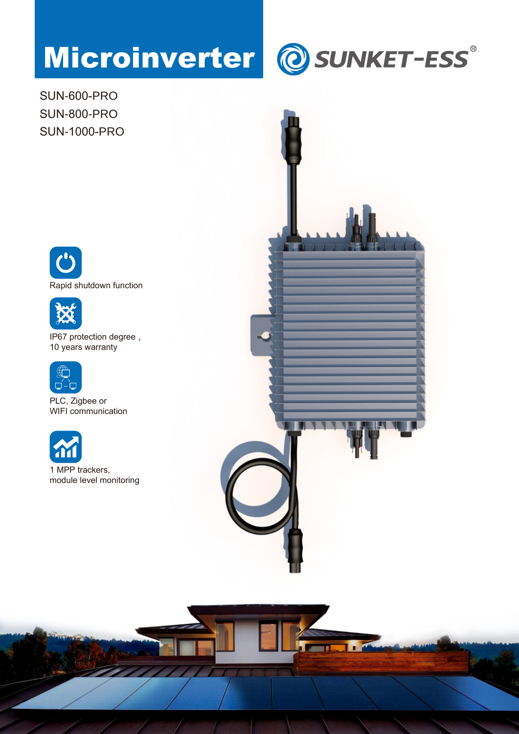## Microinverter @ SUNKET-ESS®

SUN-600-PRO SUN-800-PRO SUN-1000-PRO





IP67 protection degree, 10 years warranty



PLC, Zigbee or WIFI communication



1 MPP trackers, module level monitoring